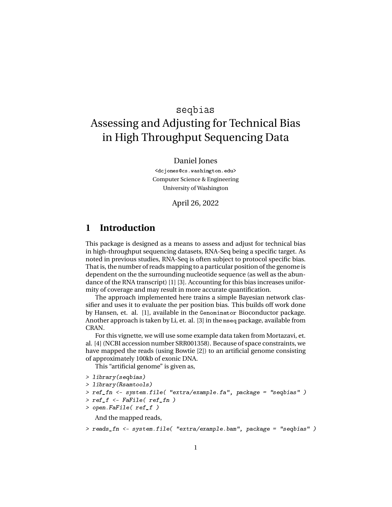# seqbias Assessing and Adjusting for Technical Bias in High Throughput Sequencing Data

#### Daniel Jones

<dcjones@cs.washington.edu> Computer Science & Engineering University of Washington

April 26, 2022

## **1 Introduction**

This package is designed as a means to assess and adjust for technical bias in high-throughput sequencing datasets, RNA-Seq being a specific target. As noted in previous studies, RNA-Seq is often subject to protocol specific bias. That is, the number of reads mapping to a particular position of the genome is dependent on the the surrounding nucleotide sequence (as well as the abundance of the RNA transcript) [1] [3]. Accounting for this bias increases uniformity of coverage and may result in more accurate quantification.

The approach implemented here trains a simple Bayesian network classifier and uses it to evaluate the per position bias. This builds off work done by Hansen, et. al. [1], available in the Genominator Bioconductor package. Another approach is taken by Li, et. al. [3] in the mseq package, available from CRAN.

For this vignette, we will use some example data taken from Mortazavi, et. al. [4] (NCBI accession number SRR001358). Because of space constraints, we have mapped the reads (using Bowtie [2]) to an artificial genome consisting of approximately 100kb of exonic DNA.

This "artificial genome" is given as,

```
> library(seqbias)
```

```
> library(Rsamtools)
```

```
> ref_fn <- system.file( "extra/example.fa", package = "seqbias" )
```

```
> ref_f < - Fafile( ref_fn )
```

```
> open.FaFile( ref_f )
```
And the mapped reads,

```
> reads_fn <- system.file( "extra/example.bam", package = "seqbias" )
```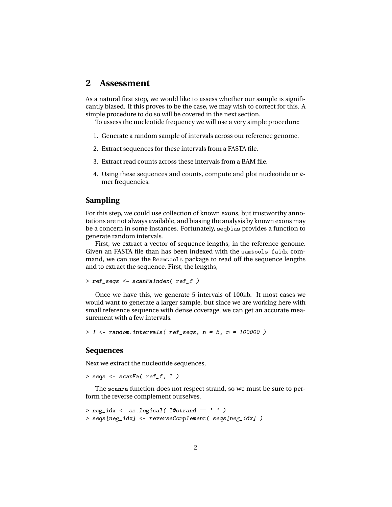### **2 Assessment**

As a natural first step, we would like to assess whether our sample is significantly biased. If this proves to be the case, we may wish to correct for this. A simple procedure to do so will be covered in the next section.

To assess the nucleotide frequency we will use a very simple procedure:

- 1. Generate a random sample of intervals across our reference genome.
- 2. Extract sequences for these intervals from a FASTA file.
- 3. Extract read counts across these intervals from a BAM file.
- 4. Using these sequences and counts, compute and plot nucleotide or kmer frequencies.

#### **Sampling**

For this step, we could use collection of known exons, but trustworthy annotations are not always available, and biasing the analysis by known exons may be a concern in some instances. Fortunately, seqbias provides a function to generate random intervals.

First, we extract a vector of sequence lengths, in the reference genome. Given an FASTA file than has been indexed with the samtools faidx command, we can use the Rsamtools package to read off the sequence lengths and to extract the sequence. First, the lengths,

```
> ref_seqs <- scanFaIndex( ref_f )
```
Once we have this, we generate 5 intervals of 100kb. It most cases we would want to generate a larger sample, but since we are working here with small reference sequence with dense coverage, we can get an accurate measurement with a few intervals.

```
> I <- random.intervals(ref_seqs, n = 5, m = 100000)
```
#### **Sequences**

Next we extract the nucleotide sequences,

```
> seqs <- scanFa( ref_f, I)
```
The scanFa function does not respect strand, so we must be sure to perform the reverse complement ourselves.

```
> neg_idx <- as.logical( I@strand == '-' )
> seqs[neg_idx] <- reverseComplement( seqs[neg_idx] )
```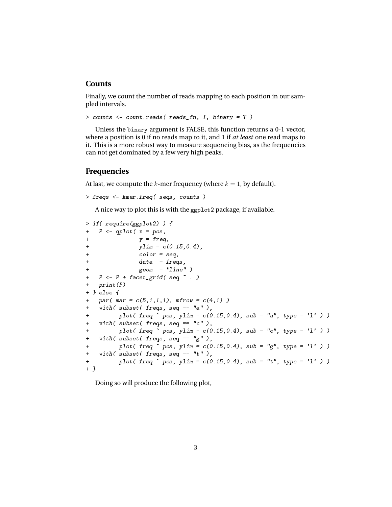#### **Counts**

Finally, we count the number of reads mapping to each position in our sampled intervals.

```
> counts <- count.reads( reads_fn, I, binary = T )
```
Unless the binary argument is FALSE, this function returns a 0-1 vector, where a position is 0 if no reads map to it, and 1 if *at least* one read maps to it. This is a more robust way to measure sequencing bias, as the frequencies can not get dominated by a few very high peaks.

#### **Frequencies**

At last, we compute the k-mer frequency (where  $k = 1$ , by default).

```
> freqs <- kmer.freq( seqs, counts )
```
A nice way to plot this is with the ggplot2 package, if available.

```
> if( require(ggplot2) ) {
+ P \leftarrow qplot(x = pos,+ y = freq,+ ylim = c(0.15, 0.4),
+ color = seq,
+ data = freqs,
+ geom = "line" )
+ P \leftarrow P + \text{facet\_grid} (\text{seq} \sim .)+ print(P)
+ } else {
   par( mar = c(5,1,1,1), mfrow = c(4,1))
+ with( subset( freqs, seq == "a" ),
+ plot( freq \sim pos, ylim = c(0.15, 0.4), sub = "a", type = 'l' ) )
+ with( subset( freqs, seq == "c" ),
+ plot( freq \sim pos, ylim = c(0.15, 0.4), sub = "c", type = 'l' ) )
+ with( subset( freqs, seq == "g" ),
+ plot( freq \sim pos, ylim = c(0.15, 0.4), sub = "g", type = 'l' ) )
+ with( subset( freqs, seq == "t" ),
+ plot( freq \sim pos, ylim = c(0.15, 0.4), sub = "t", type = 'l' ) )
+ }
```
Doing so will produce the following plot,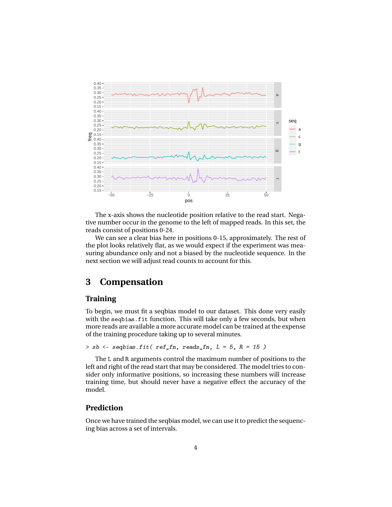

The x-axis shows the nucleotide position relative to the read start. Negative number occur in the genome to the left of mapped reads. In this set, the reads consist of positions 0-24.

We can see a clear bias here in positions 0-15, approximately. The rest of the plot looks relatively flat, as we would expect if the experiment was measuring abundance only and not a biased by the nucleotide sequence. In the next section we will adjust read counts to account for this.

# **3 Compensation**

### **Training**

To begin, we must fit a seqbias model to our dataset. This done very easily with the sequias.fit function. This will take only a few seconds, but when more reads are available a more accurate model can be trained at the expense of the training procedure taking up to several minutes.

```
> sb \le seqbias.fit( ref_fn, reads_fn, L = 5, R = 15)
```
The L and R arguments control the maximum number of positions to the left and right of the read start that may be considered. The model tries to consider only informative positions, so increasing these numbers will increase training time, but should never have a negative effect the accuracy of the model.

### **Prediction**

Once we have trained the seqbias model, we can use it to predict the sequencing bias across a set of intervals.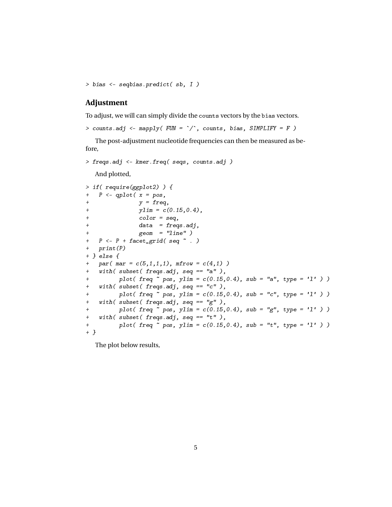```
> bias <- seqbias.predict( sb, I )
```
### **Adjustment**

To adjust, we will can simply divide the counts vectors by the bias vectors.

> counts.adj <- mapply( $FUN = \gamma$ ; counts, bias, SIMPLIFY = F)

The post-adjustment nucleotide frequencies can then be measured as before,

```
> freqs.adj <- kmer.freq( seqs, counts.adj )
  And plotted,
```

```
> if( require(ggplot2) ) {
+ P \leftarrow qplot(x = pos,+ y = freq,+ ylim = c(0.15, 0.4),
+ color = seq,
+ data = freqs.adj,
+ geom = "line" )
+ P \leftarrow P + \text{facet\_grid} seq \sim .)
+ print(P)
+ } else {
+ par( mar = c(5,1,1,1), m from = c(4,1) )+ with( subset( freqs.adj, seq == "a" ),
+ plot( freq \sim pos, ylim = c(0.15, 0.4), sub = "a", type = 'l' ) )
+ with( subset( freqs.adj, seq == "c" ),
+ plot( freq \sim pos, ylim = c(0.15, 0.4), sub = "c", type = 'l' ) )
+ with( subset( freqs.adj, seq == "g" ),
+ plot( freq \sim pos, ylim = c(0.15, 0.4), sub = "g", type = 'l' ) )
+ with( subset( freqs.adj, seq == "t"),
+ plot( freq \sim pos, ylim = c(0.15, 0.4), sub = "t", type = 'l' ) )+ }
```
The plot below results,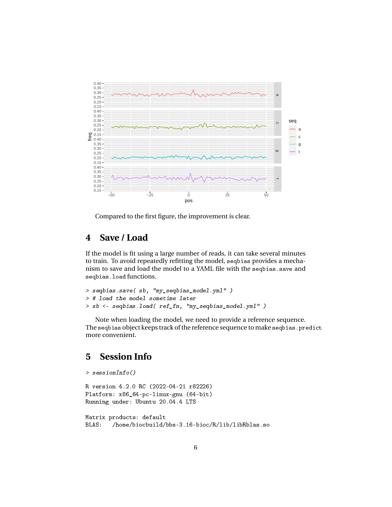

Compared to the first figure, the improvement is clear.

# **4 Save / Load**

If the model is fit using a large number of reads, it can take several minutes to train. To avoid repeatedly refitting the model, seqbias provides a mechanism to save and load the model to a YAML file with the seqbias.save and seqbias.load functions.

```
> seqbias.save( sb, "my_seqbias_model.yml" )
> # load the model sometime later
> sb <- seqbias.load( ref_fn, "my_seqbias_model.yml" )
```
Note when loading the model, we need to provide a reference sequence. The seqbias object keeps track of the reference sequence to make seqbias.predict more convenient.

# **5 Session Info**

```
> sessionInfo()
R version 4.2.0 RC (2022-04-21 r82226)
Platform: x86_64-pc-linux-gnu (64-bit)
Running under: Ubuntu 20.04.4 LTS
Matrix products: default
BLAS: /home/biocbuild/bbs-3.16-bioc/R/lib/libRblas.so
```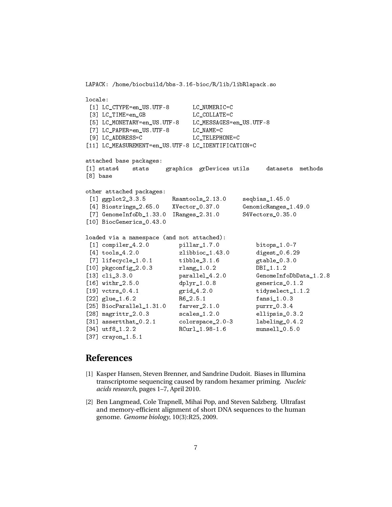```
locale:
[1] LC_CTYPE=en_US.UTF-8 LC_NUMERIC=C
[3] LC TIME=en GB LC COLLATE=C
[5] LC_MONETARY=en_US.UTF-8 LC_MESSAGES=en_US.UTF-8
[7] LC PAPER=en US.UTF-8 LC NAME=C
[9] LC_ADDRESS=C LC_TELEPHONE=C
[11] LC_MEASUREMENT=en_US.UTF-8 LC_IDENTIFICATION=C
attached base packages:
[1] stats4 stats graphics grDevices utils datasets methods
[8] base
other attached packages:
[1] ggplot2_3.3.5 Rsamtools_2.13.0 seqbias_1.45.0
[4] Biostrings_2.65.0 XVector_0.37.0 GenomicRanges_1.49.0
[7] GenomeInfoDb_1.33.0 IRanges_2.31.0 S4Vectors_0.35.0
[10] BiocGenerics_0.43.0
loaded via a namespace (and not attached):
[1] compiler 4.2.0 pillar 1.7.0 bitops 1.0-7
[4] tools_4.2.0 zlibbioc_1.43.0 digest_0.6.29
[7] lifecycle 1.0.1 tibble 3.1.6 gtable 0.3.0[10] pkgconfig_2.0.3 rlang_1.0.2 DBI_1.1.2
[13] cli_3.3.0 parallel_4.2.0 GenomeInfoDbData_1.2.8
[16] withr_2.5.0 dplyr_1.0.8 generics_0.1.2
[19] vctrs_0.4.1 <br> grid_4.2.0 tidyselect_1.1.2
[22] glue_1.6.2 R6_2.5.1 fansi_1.0.3
[25] BiocParallel_1.31.0 farver_2.1.0 purrr_0.3.4
[28] magrittr_2.0.3 scales_1.2.0 ellipsis_0.3.2
[31] assertthat_0.2.1 colorspace_2.0-3 labeling_0.4.2
[34] utf8_1.2.2 RCurl_1.98-1.6 munsell_0.5.0
[37] crayon_1.5.1
```
LAPACK: /home/biocbuild/bbs-3.16-bioc/R/lib/libRlapack.so

# **References**

- [1] Kasper Hansen, Steven Brenner, and Sandrine Dudoit. Biases in Illumina transcriptome sequencing caused by random hexamer priming. *Nucleic acids research*, pages 1–7, April 2010.
- [2] Ben Langmead, Cole Trapnell, Mihai Pop, and Steven Salzberg. Ultrafast and memory-efficient alignment of short DNA sequences to the human genome. *Genome biology*, 10(3):R25, 2009.